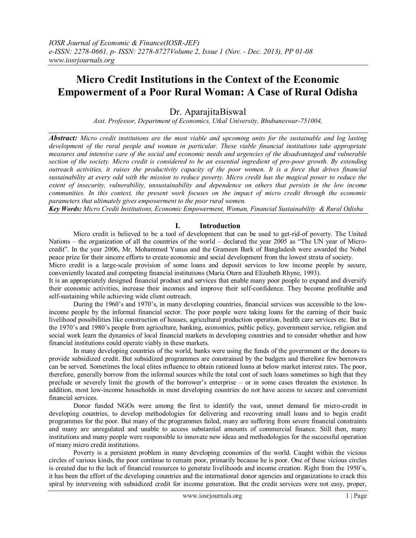# **Micro Credit Institutions in the Context of the Economic Empowerment of a Poor Rural Woman: A Case of Rural Odisha**

Dr. AparajitaBiswal

*Asst. Professor, Department of Economics, Utkal University, Bhubaneswar-751004,* 

*Abstract: Micro credit institutions are the most viable and upcoming units for the sustainable and log lasting development of the rural people and woman in particular. These viable financial institutions take appropriate measures and intensive care of the social and economic needs and urgencies of the disadvantaged and vulnerable section of the society. Micro credit is considered to be an essential ingredient of pro-poor growth. By extending outreach activities, it raises the productivity capacity of the poor women. It is a force that drives financial sustainability at every odd with the mission to reduce poverty. Micro credit has the magical power to reduce the extent of insecurity, vulnerability, unsustainability and dependence on others that persists in the low income communities. In this context, the present work focuses on the impact of micro credit through the economic parameters that ultimately gives empowerment to the poor rural women.*

*Key Words: Micro Credit Institutions, Economic Empowerment, Woman, Financial Sustainability & Rural Odisha*

## **I. Introduction**

Micro credit is believed to be a tool of development that can be used to get-rid-of poverty. The United Nations – the organization of all the countries of the world – declared the year 2005 as "The UN year of Microcredit". In the year 2006, Mr. Mohammed Yunus and the Grameen Bark of Bangladesh were awarded the Nobel peace prize for their sincere efforts to create economic and social development from the lowest strata of society.

Micro credit is a large-scale provision of some loans and deposit services to low income people by secure, conveniently located and competing financial institutions (Maria Otern and Elizabeth Rhyne, 1993).

It is an appropriately designed financial product and services that enable many poor people to expand and diversify their economic activities, increase their incomes and improve their self-confidence. They become profitable and self-sustaining while achieving wide client outreach.

During the 1960"s and 1970"s, in many developing countries, financial services was accessible to the lowincome people by the informal financial sector. The poor people were taking loans for the earning of their basic livelihood possibilities like construction of houses, agricultural production operation, health care services etc. But in the 1970"s and 1980"s people from agriculture, banking, economics, public policy, government service, religion and social work learn the dynamics of local financial markets in developing countries and to consider whether and how financial institutions could operate viably in these markets.

In many developing countries of the world, banks were using the funds of the government or the donors to provide subsidized credit. But subsidized programmes are constrained by the budgets and therefore few borrowers can be served. Sometimes the local elites influence to obtain rationed loans at below market interest rates. The poor, therefore, generally borrow from the informal sources while the total cost of such loans sometimes so high that they preclude or severely limit the growth of the borrower"s enterprise – or in some cases threaten the existence. In addition, most low-income households in most developing countries do not have access to secure and convenient financial services.

Donor funded NGOs were among the first to identify the vast, unmet demand for micro-credit in developing countries, to develop methodologies for delivering and recovering small loans and to begin credit programmes for the poor. But many of the programmes failed, many are suffering from severe financial constraints and many are unregulated and unable to access substantial amounts of commercial finance. Still then, many institutions and many people were responsible to innovate new ideas and methodologies for the successful operation of many micro credit institutions.

Poverty is a persistent problem in many developing economies of the world. Caught within the vicious circles of various kinds, the poor continue to remain poor, primarily because he is poor. One of these vicious circles is created due to the lack of financial resources to generate livelihoods and income creation. Right from the 1950"s, it has been the effort of the developing countries and the international donor agencies and organizations to crack this spiral by intervening with subsidized credit for income generation. But the credit services were not easy, proper,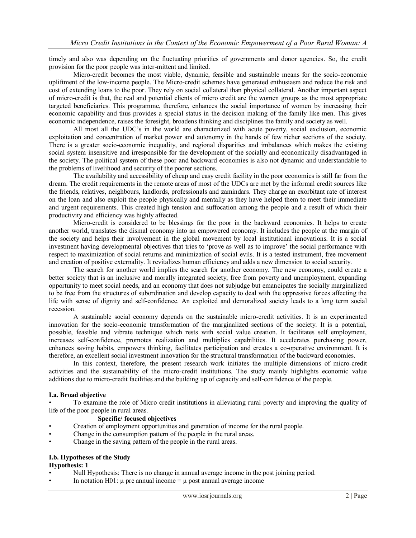timely and also was depending on the fluctuating priorities of governments and donor agencies. So, the credit provision for the poor people was inter-mittent and limited.

Micro-credit becomes the most viable, dynamic, feasible and sustainable means for the socio-economic upliftment of the low-income people. The Micro-credit schemes have generated enthusiasm and reduce the risk and cost of extending loans to the poor. They rely on social collateral than physical collateral. Another important aspect of micro-credit is that, the real and potential clients of micro credit are the women groups as the most appropriate targeted beneficiaries. This programme, therefore, enhances the social importance of women by increasing their economic capability and thus provides a special status in the decision making of the family like men. This gives economic independence, raises the foresight, broadens thinking and disciplines the family and society as well.

All most all the UDC"s in the world are characterized with acute poverty, social exclusion, economic exploitation and concentration of market power and autonomy in the hands of few richer sections of the society. There is a greater socio-economic inequality, and regional disparities and imbalances which makes the existing social system insensitive and irresponsible for the development of the socially and economically disadvantaged in the society. The political system of these poor and backward economies is also not dynamic and understandable to the problems of livelihood and security of the poorer sections.

The availability and accessibility of cheap and easy credit facility in the poor economics is still far from the dream. The credit requirements in the remote areas of most of the UDCs are met by the informal credit sources like the friends, relatives, neighbours, landlords, professionals and zamindars. They charge an exorbitant rate of interest on the loan and also exploit the people physically and mentally as they have helped them to meet their immediate and urgent requirements. This created high tension and suffocation among the people and a result of which their productivity and efficiency was highly affected.

Micro-credit is considered to be blessings for the poor in the backward economies. It helps to create another world, translates the dismal economy into an empowered economy. It includes the people at the margin of the society and helps their involvement in the global movement by local institutional innovations. It is a social investment having developmental objectives that tries to "prove as well as to improve" the social performance with respect to maximization of social returns and minimization of social evils. It is a tested instrument, free movement and creation of positive externality. It revitalizes human efficiency and adds a new dimension to social security.

The search for another world implies the search for another economy. The new economy, could create a better society that is an inclusive and morally integrated society, free from poverty and unemployment, expanding opportunity to meet social needs, and an economy that does not subjudge but emancipates the socially marginalized to be free from the structures of subordination and develop capacity to deal with the oppressive forces affecting the life with sense of dignity and self-confidence. An exploited and demoralized society leads to a long term social recession.

A sustainable social economy depends on the sustainable micro-credit activities. It is an experimented innovation for the socio-economic transformation of the marginalized sections of the society. It is a potential, possible, feasible and vibrate technique which rests with social value creation. It facilitates self employment, increases self-confidence, promotes realization and multiplies capabilities. It accelerates purchasing power, enhances saving habits, empowers thinking, facilitates participation and creates a co-operative environment. It is therefore, an excellent social investment innovation for the structural transformation of the backward economies.

In this context, therefore, the present research work initiates the multiple dimensions of micro-credit activities and the sustainability of the micro-credit institutions. The study mainly highlights economic value additions due to micro-credit facilities and the building up of capacity and self-confidence of the people.

#### **I.a. Broad objective**

• To examine the role of Micro credit institutions in alleviating rural poverty and improving the quality of life of the poor people in rural areas.

## **Specific/ focused objectives**

- Creation of employment opportunities and generation of income for the rural people.
- Change in the consumption pattern of the people in the rural areas.
- Change in the saving pattern of the people in the rural areas.

#### **I.b. Hypotheses of the Study**

**Hypothesis: 1**

- Null Hypothesis: There is no change in annual average income in the post joining period.
- In notation H01:  $\mu$  pre annual income =  $\mu$  post annual average income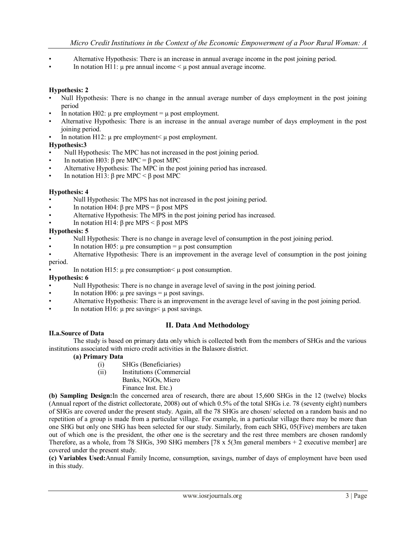- Alternative Hypothesis: There is an increase in annual average income in the post joining period.
- In notation H11:  $\mu$  pre annual income  $\leq \mu$  post annual average income.

#### **Hypothesis: 2**

- Null Hypothesis: There is no change in the annual average number of days employment in the post joining period
- In notation H02:  $\mu$  pre employment =  $\mu$  post employment.
- Alternative Hypothesis: There is an increase in the annual average number of days employment in the post joining period.
- In notation H12:  $\mu$  pre employment  $\mu$  post employment.

#### **Hypothesis:3**

- Null Hypothesis: The MPC has not increased in the post joining period.
- In notation H03: β pre MPC = β post MPC
- Alternative Hypothesis: The MPC in the post joining period has increased.
- In notation H13: β pre MPC < β post MPC

#### **Hypothesis: 4**

- Null Hypothesis: The MPS has not increased in the post joining period.
- In notation H04: β pre MPS = β post MPS
- Alternative Hypothesis: The MPS in the post joining period has increased.
- In notation H14:  $β$  pre MPS <  $β$  post MPS

#### **Hypothesis: 5**

- Null Hypothesis: There is no change in average level of consumption in the post joining period.
- In notation H05:  $\mu$  pre consumption =  $\mu$  post consumption
- Alternative Hypothesis: There is an improvement in the average level of consumption in the post joining

## period.

In notation H15:  $\mu$  pre consumption $\leq \mu$  post consumption.

#### **Hypothesis: 6**

- Null Hypothesis: There is no change in average level of saving in the post joining period.
- In notation H06:  $\mu$  pre savings =  $\mu$  post savings.
- Alternative Hypothesis: There is an improvement in the average level of saving in the post joining period.
- In notation H16:  $\mu$  pre savings  $\mu$  post savings.

## **II. Data And Methodology**

#### **II.a.Source of Data**

The study is based on primary data only which is collected both from the members of SHGs and the various institutions associated with micro credit activities in the Balasore district.

#### **(a) Primary Data**

- (i) SHGs (Beneficiaries)
- (ii) Institutions (Commercial
	- Banks, NGOs, Micro
		- Finance Inst. Etc.)

**(b) Sampling Design:**In the concerned area of research, there are about 15,600 SHGs in the 12 (twelve) blocks (Annual report of the district collectorate, 2008) out of which 0.5% of the total SHGs i.e. 78 (seventy eight) numbers of SHGs are covered under the present study. Again, all the 78 SHGs are chosen/ selected on a random basis and no repetition of a group is made from a particular village. For example, in a particular village there may be more than one SHG but only one SHG has been selected for our study. Similarly, from each SHG, 05(Five) members are taken out of which one is the president, the other one is the secretary and the rest three members are chosen randomly Therefore, as a whole, from 78 SHGs, 390 SHG members  $[78 \times 5(3m \text{ general members} + 2 \text{ executive member}]$  are covered under the present study.

**(c) Variables Used:**Annual Family Income, consumption, savings, number of days of employment have been used in this study.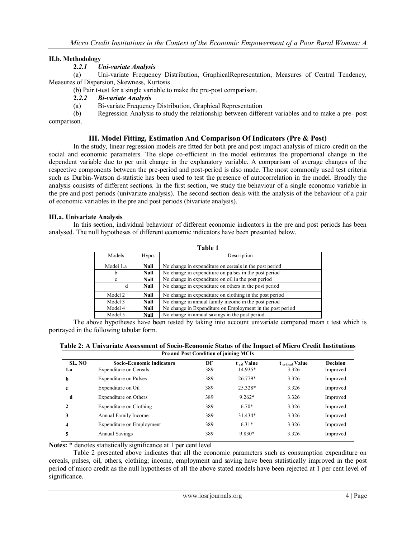#### **II.b. Methodology**

#### **2.***2.1 Uni-variate Analysis*

(a) Uni-variate Frequency Distribution, GraphicalRepresentation, Measures of Central Tendency, Measures of Dispersion, Skewness, Kurtosis

(b) Pair t-test for a single variable to make the pre-post comparison.

#### **2.***2.2 Bi-variate Analysis*

(a) Bi-variate Frequency Distribution, Graphical Representation

(b) Regression Analysis to study the relationship between different variables and to make a pre- post comparison.

### **III. Model Fitting, Estimation And Comparison Of Indicators (Pre & Post)**

In the study, linear regression models are fitted for both pre and post impact analysis of micro-credit on the social and economic parameters. The slope co-efficient in the model estimates the proportional change in the dependent variable due to per unit change in the explanatory variable. A comparison of average changes of the respective components between the pre-period and post-period is also made. The most commonly used test criteria such as Durbin-Watson d-statistic has been used to test the presence of autocorrelation in the model. Broadly the analysis consists of different sections. In the first section, we study the behaviour of a single economic variable in the pre and post periods (univariate analysis). The second section deals with the analysis of the behaviour of a pair of economic variables in the pre and post periods (bivariate analysis).

#### **III.a. Univariate Analysis**

In this section, individual behaviour of different economic indicators in the pre and post periods has been analysed. The null hypotheses of different economic indicators have been presented below.

| Table 1   |       |                                                           |  |
|-----------|-------|-----------------------------------------------------------|--|
| Models    | Hypo. | Description                                               |  |
| Model 1.a | Null  | No change in expenditure on cereals in the post period    |  |
| b         | Null  | No change in expenditure on pulses in the post period     |  |
| c         | Null  | No change in expenditure on oil in the post period        |  |
| d         | Null  | No change in expenditure on others in the post period     |  |
| Model 2   | Null  | No change in expenditure on clothing in the post period   |  |
| Model 3   | Null  | No change in annual family income in the post period      |  |
| Model 4   | Null  | No change in Expenditure on Employment in the post period |  |
| Model 5   | Null  | No change in annual savings in the post period            |  |

The above hypotheses have been tested by taking into account univariate compared mean t test which is portrayed in the following tabular form.

|--|

| <b>Pre and Post Condition of joining MCIs</b> |                                                            |           |                                   |                           |                             |
|-----------------------------------------------|------------------------------------------------------------|-----------|-----------------------------------|---------------------------|-----------------------------|
| SL. NO<br>1.a                                 | <b>Socio-Economic indicators</b><br>Expenditure on Cereals | DF<br>389 | t <sub>cal</sub> Value<br>14.935* | t critical Value<br>3.326 | <b>Decision</b><br>Improved |
| b                                             | Expenditure on Pulses                                      | 389       | 26.779*                           | 3.326                     | Improved                    |
| c                                             | Expenditure on Oil                                         | 389       | 25.328*                           | 3.326                     | Improved                    |
| d                                             | Expenditure on Others                                      | 389       | $9.262*$                          | 3.326                     | Improved                    |
| 2                                             | Expenditure on Clothing                                    | 389       | $6.70*$                           | 3.326                     | Improved                    |
| 3                                             | Annual Family Income                                       | 389       | $31.434*$                         | 3.326                     | Improved                    |
| 4                                             | Expenditure on Employment                                  | 389       | $6.31*$                           | 3.326                     | Improved                    |
| 5                                             | Annual Savings                                             | 389       | 9.830*                            | 3.326                     | Improved                    |

**Notes:** \* denotes statistically significance at 1 per cent level

Table 2 presented above indicates that all the economic parameters such as consumption expenditure on cereals, pulses, oil, others, clothing; income, employment and saving have been statistically improved in the post period of micro credit as the null hypotheses of all the above stated models have been rejected at 1 per cent level of significance.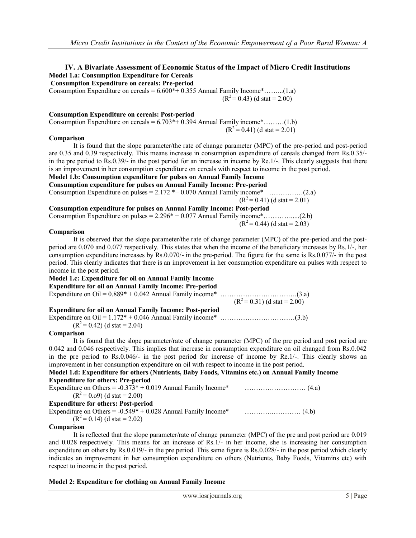## **IV. A Bivariate Assessment of Economic Status of the Impact of Micro Credit Institutions Model 1.a: Consumption Expenditure for Cereals**

**Consumption Expenditure on cereals: Pre-period**  Consumption Expenditure on cereals =  $6.600*+0.355$  Annual Family Income $*$ .........(1.a)  $(R^2 = 0.43)$  (d stat = 2.00)

**Consumption Expenditure on cereals: Post-period** 

Consumption Expenditure on cereals  $= 6.703*+0.394$  Annual Family income $*$ ………(1.b)  $(R^2 = 0.41)$  (d stat = 2.01)

#### **Comparison**

It is found that the slope parameter/the rate of change parameter (MPC) of the pre-period and post-period are 0.35 and 0.39 respectively. This means increase in consumption expenditure of cereals changed from Rs.0.35/ in the pre period to Rs.0.39/- in the post period for an increase in income by Re.1/-. This clearly suggests that there is an improvement in her consumption expenditure on cereals with respect to income in the post period.

## **Model 1.b: Consumption expenditure for pulses on Annual Family Income**

**Consumption expenditure for pulses on Annual Family Income: Pre-period**  Consumption Expenditure on pulses = 2.172 \*+ 0.070 Annual Family income\* ……………(2.a)

 $(R^2= 0.41)$  (d stat = 2.01)

**Consumption expenditure for pulses on Annual Family Income: Post-period**  Consumption Expenditure on pulses  $= 2.296* + 0.077$  Annual Family income $*$ …………....(2.b)

 $(R^2= 0.44)$  (d stat = 2.03)

#### **Comparison**

It is observed that the slope parameter/the rate of change parameter (MPC) of the pre-period and the postperiod are 0.070 and 0.077 respectively. This states that when the income of the beneficiary increases by Rs.1/-, her consumption expenditure increases by Rs.0.070/- in the pre-period. The figure for the same is Rs.0.077/- in the post period. This clearly indicates that there is an improvement in her consumption expenditure on pulses with respect to income in the post period.

#### **Model 1.c: Expenditure for oil on Annual Family Income Expenditure for oil on Annual Family Income: Pre-period**

| <b>Experience for on on Annual Pattilly Income.</b> I re-perfou |                                |
|-----------------------------------------------------------------|--------------------------------|
|                                                                 |                                |
|                                                                 | $(R^2 = 0.31)$ (d stat = 2.00) |
| <b>Expenditure for oil on Annual Family Income: Post-period</b> |                                |
|                                                                 |                                |

 $(R<sup>2</sup>= 0.42)$  (d stat = 2.04)

### **Comparison**

It is found that the slope parameter/rate of change parameter (MPC) of the pre period and post period are 0.042 and 0.046 respectively. This implies that increase in consumption expenditure on oil changed from Rs.0.042 in the pre period to Rs.0.046/- in the post period for increase of income by Re.1/-. This clearly shows an improvement in her consumption expenditure on oil with respect to income in the post period.

|  |                                            |  | Model 1.d: Expenditure for others (Nutrients, Baby Foods, Vitamins etc.) on Annual Family Income |
|--|--------------------------------------------|--|--------------------------------------------------------------------------------------------------|
|  | <b>Expenditure for others: Pre-period</b>  |  |                                                                                                  |
|  |                                            |  |                                                                                                  |
|  | $(R2=0.09)$ (d stat = 2.00)                |  |                                                                                                  |
|  | <b>Expenditure for others: Post-period</b> |  |                                                                                                  |
|  |                                            |  |                                                                                                  |

| Expenditure on Others = $-0.549* + 0.028$ Annual Family Income* |  |
|-----------------------------------------------------------------|--|
| $(R2=0.14)$ (d stat = 2.02)                                     |  |

#### **Comparison**

It is reflected that the slope parameter/rate of change parameter (MPC) of the pre and post period are 0.019 and 0.028 respectively. This means for an increase of Rs.1/- in her income, she is increasing her consumption expenditure on others by Rs.0.019/- in the pre period. This same figure is Rs.0.028/- in the post period which clearly indicates an improvement in her consumption expenditure on others (Nutrients, Baby Foods, Vitamins etc) with respect to income in the post period.

## **Model 2: Expenditure for clothing on Annual Family Income**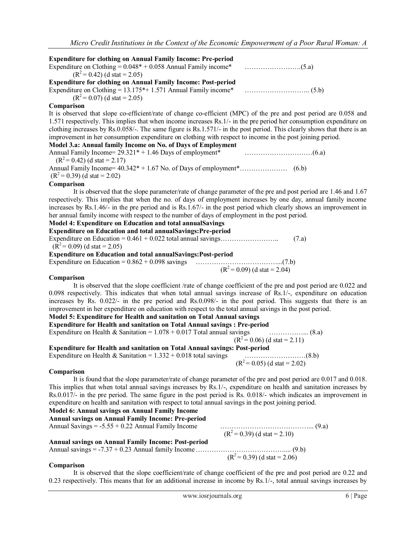| <b>Expenditure for clothing on Annual Family Income: Pre-period</b>                                                     |                               |
|-------------------------------------------------------------------------------------------------------------------------|-------------------------------|
| Expenditure on Clothing = $0.048* + 0.058$ Annual Family income*<br>$(R2=0.42)$ (d stat = 2.05)                         |                               |
| <b>Expenditure for clothing on Annual Family Income: Post-period</b>                                                    |                               |
| $(R2=0.07)$ (d stat = 2.05)                                                                                             |                               |
| Comparison                                                                                                              |                               |
| It is observed that slope co-efficient/rate of change co-efficient (MPC) of the pre and post period are 0.058 and       |                               |
| 1.571 respectively. This implies that when income increases Rs. 1/- in the pre period her consumption expenditure on    |                               |
| clothing increases by Rs.0.058/-. The same figure is Rs.1.571/- in the post period. This clearly shows that there is an |                               |
| improvement in her consumption expenditure on clothing with respect to income in the post joining period.               |                               |
| Model 3.a: Annual family Income on No. of Days of Employment                                                            |                               |
| $(R2=0.42)$ (d stat = 2.17)                                                                                             |                               |
|                                                                                                                         |                               |
| $(R2=0.39)$ (d stat = 2.02)                                                                                             |                               |
| Comparison                                                                                                              |                               |
| It is observed that the slope parameter/rate of change parameter of the pre and post period are 1.46 and 1.67           |                               |
| respectively. This implies that when the no. of days of employment increases by one day, annual family income           |                               |
| increases by Rs.1.46/- in the pre period and is Rs.1.67/- in the post period which clearly shows an improvement in      |                               |
| her annual family income with respect to the number of days of employment in the post period.                           |                               |
| Model 4: Expenditure on Education and total annualSavings                                                               |                               |
| Expenditure on Education and total annualSavings: Pre-period                                                            |                               |
|                                                                                                                         | (7.a)                         |
| $(R2=0.09)$ (d stat = 2.05)                                                                                             |                               |
| <b>Expenditure on Education and total annualSavings: Post-period</b>                                                    |                               |
| Expenditure on Education = $0.862 + 0.098$ savings                                                                      |                               |
|                                                                                                                         | $(R2 = 0.09)$ (d stat = 2.04) |

#### **Comparison**

It is observed that the slope coefficient /rate of change coefficient of the pre and post period are 0.022 and 0.098 respectively. This indicates that when total annual savings increase of Rs.1/-, expenditure on education increases by Rs. 0.022/- in the pre period and Rs.0.098/- in the post period. This suggests that there is an improvement in her expenditure on education with respect to the total annual savings in the post period.

## **Model 5: Expenditure for Health and sanitation on Total Annual savings**

**Expenditure for Health and sanitation on Total Annual savings : Pre-period**

Expenditure on Health & Sanitation = 1.078 + 0.017 Total annual savings ……………... (8.a)

 $(R^{2} = 0.06)$  (d stat = 2.11)

**Expenditure for Health and sanitation on Total Annual savings: Post-period** 

Expenditure on Health & Sanitation = 1.332 + 0.018 total savings ………………………(8.b)  $(R^2 = 0.05)$  (d stat = 2.02)

**Comparison**

It is found that the slope parameter/rate of change parameter of the pre and post period are 0.017 and 0.018. This implies that when total annual savings increases by Rs.1/-, expenditure on health and sanitation increases by Rs.0.017/- in the pre period. The same figure in the post period is Rs. 0.018/- which indicates an improvement in expenditure on health and sanitation with respect to total annual savings in the post joining period.

## **Model 6: Annual savings on Annual Family Income**

**Annual savings on Annual Family Income: Pre-period** Annual Savings = -5.55 + 0.22 Annual Family Income …………………………………... (9.a)

**Annual savings on Annual Family Income: Post-period**

 $(R^2 = 0.39)$  (d stat = 2.10)

Annual savings = -7.37 + 0.23 Annual family Income………………………………….... (9.b)  $(R^2 = 0.39)$  (d stat = 2.06)

#### **Comparison**

It is observed that the slope coefficient/rate of change coefficient of the pre and post period are 0.22 and 0.23 respectively. This means that for an additional increase in income by Rs.1/-, total annual savings increases by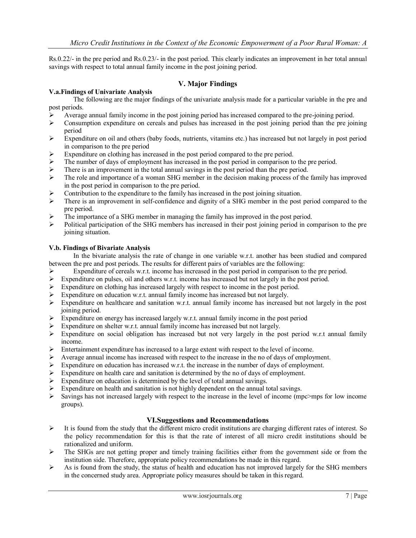Rs.0.22/- in the pre period and Rs.0.23/- in the post period. This clearly indicates an improvement in her total annual savings with respect to total annual family income in the post joining period.

## **V. Major Findings**

#### **V.a.Findings of Univariate Analysis**

The following are the major findings of the univariate analysis made for a particular variable in the pre and post periods.

- Average annual family income in the post joining period has increased compared to the pre-joining period.<br>  $\triangleright$  Consumption expenditure on cereals and pulses has increased in the post joining period than the pre-join
- Consumption expenditure on cereals and pulses has increased in the post joining period than the pre joining period
- $\triangleright$  Expenditure on oil and others (baby foods, nutrients, vitamins etc.) has increased but not largely in post period in comparison to the pre period
- $\triangleright$  Expenditure on clothing has increased in the post period compared to the pre period.
- $\triangleright$  The number of days of employment has increased in the post period in comparison to the pre period.
- $\triangleright$  There is an improvement in the total annual savings in the post period than the pre period.
- $\triangleright$  The role and importance of a woman SHG member in the decision making process of the family has improved in the post period in comparison to the pre period.
- $\triangleright$  Contribution to the expenditure to the family has increased in the post joining situation.
- $\triangleright$  There is an improvement in self-confidence and dignity of a SHG member in the post period compared to the pre period.
- $\triangleright$  The importance of a SHG member in managing the family has improved in the post period.
- $\triangleright$  Political participation of the SHG members has increased in their post joining period in comparison to the pre joining situation.

#### **V.b. Findings of Bivariate Analysis**

In the bivariate analysis the rate of change in one variable w.r.t. another has been studied and compared between the pre and post periods. The results for different pairs of variables are the following:

- Expenditure of cereals w.r.t. income has increased in the post period in comparison to the pre period.
- Expenditure on pulses, oil and others w.r.t. income has increased but not largely in the post period.
- $\triangleright$  Expenditure on clothing has increased largely with respect to income in the post period.
- Expenditure on education w.r.t. annual family income has increased but not largely.
- $\triangleright$  Expenditure on healthcare and sanitation w.r.t. annual family income has increased but not largely in the post joining period.
- $\triangleright$  Expenditure on energy has increased largely w.r.t. annual family income in the post period
- $\triangleright$  Expenditure on shelter w.r.t. annual family income has increased but not largely.
- Expenditure on social obligation has increased but not very largely in the post period w.r.t annual family income.
- $\triangleright$  Entertainment expenditure has increased to a large extent with respect to the level of income.
- $\triangleright$  Average annual income has increased with respect to the increase in the no of days of employment.
- Expenditure on education has increased w.r.t. the increase in the number of days of employment.
- $\triangleright$  Expenditure on health care and sanitation is determined by the no of days of employment.
- $\triangleright$  Expenditure on education is determined by the level of total annual savings.
- $\triangleright$  Expenditure on health and sanitation is not highly dependent on the annual total savings.
- $\triangleright$  Savings has not increased largely with respect to the increase in the level of income (mpc>mps for low income groups).

### **VI.Suggestions and Recommendations**

- $\triangleright$  It is found from the study that the different micro credit institutions are charging different rates of interest. So the policy recommendation for this is that the rate of interest of all micro credit institutions should be rationalized and uniform.
- $\triangleright$  The SHGs are not getting proper and timely training facilities either from the government side or from the institution side. Therefore, appropriate policy recommendations be made in this regard.
- $\triangleright$  As is found from the study, the status of health and education has not improved largely for the SHG members in the concerned study area. Appropriate policy measures should be taken in this regard.